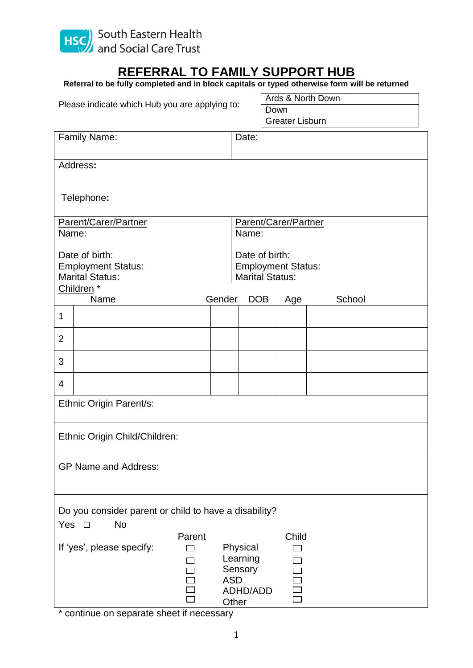

## **REFERRAL TO FAMILY SUPPORT HUB**

| Referral to be fully completed and in block capitals or typed otherwise form will be returned |  |  |
|-----------------------------------------------------------------------------------------------|--|--|
|-----------------------------------------------------------------------------------------------|--|--|

| Please indicate which Hub you are applying to: |                                                       |                  |                | Ards & North Down             |  |                        |        |  |  |
|------------------------------------------------|-------------------------------------------------------|------------------|----------------|-------------------------------|--|------------------------|--------|--|--|
|                                                |                                                       |                  |                | Down                          |  |                        |        |  |  |
|                                                |                                                       |                  |                |                               |  | <b>Greater Lisburn</b> |        |  |  |
|                                                | Family Name:                                          |                  |                | Date:                         |  |                        |        |  |  |
|                                                |                                                       |                  |                |                               |  |                        |        |  |  |
|                                                | Address:                                              |                  |                |                               |  |                        |        |  |  |
|                                                |                                                       |                  |                |                               |  |                        |        |  |  |
|                                                |                                                       |                  |                |                               |  |                        |        |  |  |
|                                                | Telephone:                                            |                  |                |                               |  |                        |        |  |  |
|                                                | Parent/Carer/Partner                                  |                  |                |                               |  |                        |        |  |  |
| Name:                                          |                                                       |                  |                | Parent/Carer/Partner<br>Name: |  |                        |        |  |  |
|                                                |                                                       |                  |                |                               |  |                        |        |  |  |
| Date of birth:                                 |                                                       |                  | Date of birth: |                               |  |                        |        |  |  |
| <b>Employment Status:</b>                      |                                                       |                  |                | <b>Employment Status:</b>     |  |                        |        |  |  |
|                                                | <b>Marital Status:</b>                                |                  |                | <b>Marital Status:</b>        |  |                        |        |  |  |
|                                                | Children <sup>*</sup><br>Name                         |                  | Gender         | <b>DOB</b>                    |  | Age                    | School |  |  |
|                                                |                                                       |                  |                |                               |  |                        |        |  |  |
| 1                                              |                                                       |                  |                |                               |  |                        |        |  |  |
| $\overline{2}$                                 |                                                       |                  |                |                               |  |                        |        |  |  |
| 3                                              |                                                       |                  |                |                               |  |                        |        |  |  |
| $\overline{4}$                                 |                                                       |                  |                |                               |  |                        |        |  |  |
|                                                |                                                       |                  |                |                               |  |                        |        |  |  |
|                                                | Ethnic Origin Parent/s:                               |                  |                |                               |  |                        |        |  |  |
|                                                | Ethnic Origin Child/Children:                         |                  |                |                               |  |                        |        |  |  |
|                                                |                                                       |                  |                |                               |  |                        |        |  |  |
|                                                | <b>GP Name and Address:</b>                           |                  |                |                               |  |                        |        |  |  |
|                                                |                                                       |                  |                |                               |  |                        |        |  |  |
|                                                |                                                       |                  |                |                               |  |                        |        |  |  |
|                                                |                                                       |                  |                |                               |  |                        |        |  |  |
|                                                | Do you consider parent or child to have a disability? |                  |                |                               |  |                        |        |  |  |
| Yes $\square$                                  | No                                                    |                  |                |                               |  |                        |        |  |  |
|                                                | If 'yes', please specify:                             | Parent<br>$\Box$ |                | Physical                      |  | Child<br>$\Box$        |        |  |  |
|                                                |                                                       |                  |                | Learning                      |  |                        |        |  |  |
|                                                |                                                       | ┓                |                | Sensory                       |  |                        |        |  |  |
|                                                |                                                       |                  |                | <b>ASD</b>                    |  |                        |        |  |  |
|                                                |                                                       |                  |                | ADHD/ADD                      |  |                        |        |  |  |
|                                                |                                                       |                  |                | Other                         |  |                        |        |  |  |

\* continue on separate sheet if necessary